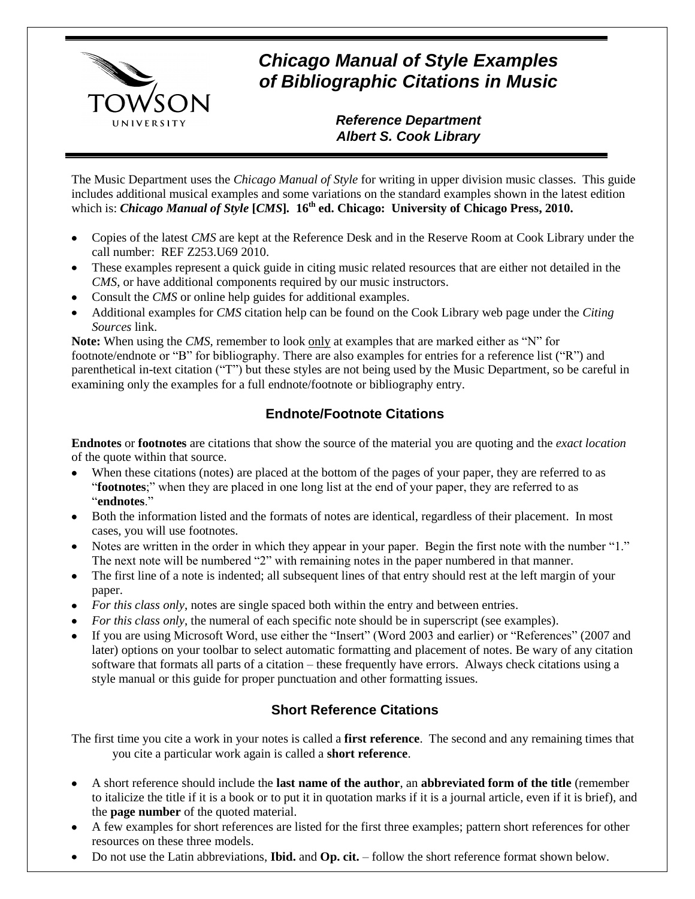

# *Chicago Manual of Style Examples of Bibliographic Citations in Music*

## *Reference Department Albert S. Cook Library*

The Music Department uses the *Chicago Manual of Style* for writing in upper division music classes. This guide includes additional musical examples and some variations on the standard examples shown in the latest edition which is: *Chicago Manual of Style* **[***CMS***]***.* **16 th ed. Chicago: University of Chicago Press, 2010.**

- Copies of the latest *CMS* are kept at the Reference Desk and in the Reserve Room at Cook Library under the call number: REF Z253.U69 2010.
- These examples represent a quick guide in citing music related resources that are either not detailed in the *CMS*, or have additional components required by our music instructors.
- Consult the *CMS* or online help guides for additional examples.
- Additional examples for *CMS* citation help can be found on the Cook Library web page under the *Citing Sources* link.

Note: When using the *CMS*, remember to look only at examples that are marked either as "N" for footnote/endnote or "B" for bibliography. There are also examples for entries for a reference list ("R") and parenthetical in-text citation ("T") but these styles are not being used by the Music Department, so be careful in examining only the examples for a full endnote/footnote or bibliography entry.

## **Endnote/Footnote Citations**

**Endnotes** or **footnotes** are citations that show the source of the material you are quoting and the *exact location* of the quote within that source.

- $\bullet$ When these citations (notes) are placed at the bottom of the pages of your paper, they are referred to as "**footnotes**;" when they are placed in one long list at the end of your paper, they are referred to as "**endnotes**."
- Both the information listed and the formats of notes are identical, regardless of their placement. In most cases, you will use footnotes.
- Notes are written in the order in which they appear in your paper. Begin the first note with the number "1." The next note will be numbered "2" with remaining notes in the paper numbered in that manner.
- The first line of a note is indented; all subsequent lines of that entry should rest at the left margin of your paper.
- *For this class only*, notes are single spaced both within the entry and between entries.
- *For this class only*, the numeral of each specific note should be in superscript (see examples).
- If you are using Microsoft Word, use either the "Insert" (Word 2003 and earlier) or "References" (2007 and later) options on your toolbar to select automatic formatting and placement of notes. Be wary of any citation software that formats all parts of a citation – these frequently have errors. Always check citations using a style manual or this guide for proper punctuation and other formatting issues.

## **Short Reference Citations**

The first time you cite a work in your notes is called a **first reference**. The second and any remaining times that you cite a particular work again is called a **short reference**.

- A short reference should include the **last name of the author**, an **abbreviated form of the title** (remember to italicize the title if it is a book or to put it in quotation marks if it is a journal article, even if it is brief), and the **page number** of the quoted material.
- A few examples for short references are listed for the first three examples; pattern short references for other resources on these three models.
- Do not use the Latin abbreviations, **Ibid.** and **Op. cit.** follow the short reference format shown below.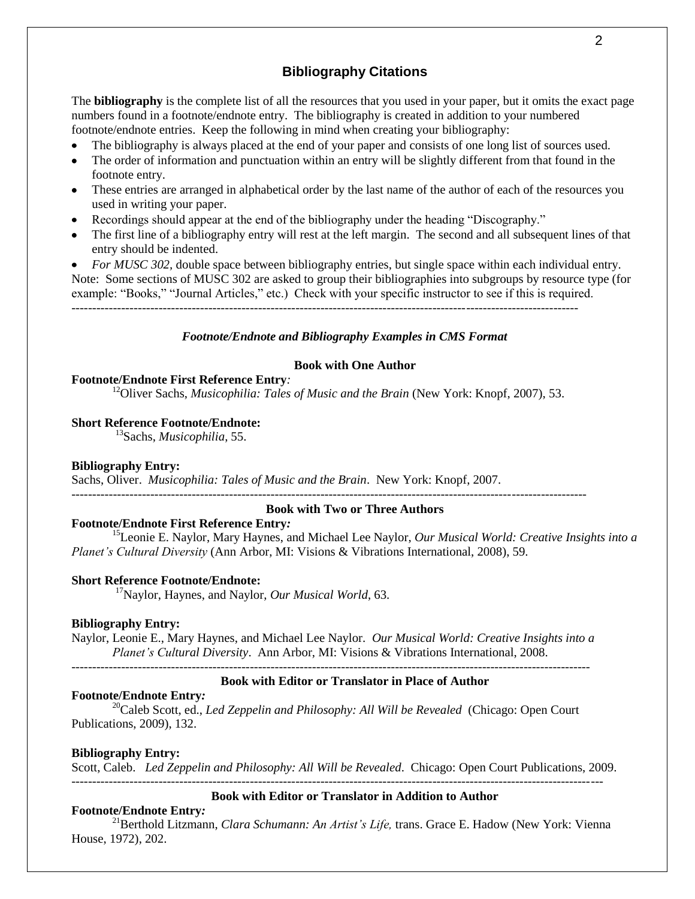## **Bibliography Citations**

The **bibliography** is the complete list of all the resources that you used in your paper, but it omits the exact page numbers found in a footnote/endnote entry. The bibliography is created in addition to your numbered footnote/endnote entries. Keep the following in mind when creating your bibliography:

- The bibliography is always placed at the end of your paper and consists of one long list of sources used.
- The order of information and punctuation within an entry will be slightly different from that found in the  $\bullet$ footnote entry.
- These entries are arranged in alphabetical order by the last name of the author of each of the resources you used in writing your paper.
- Recordings should appear at the end of the bibliography under the heading "Discography."
- The first line of a bibliography entry will rest at the left margin. The second and all subsequent lines of that entry should be indented.

*For MUSC 302,* double space between bibliography entries, but single space within each individual entry. Note: Some sections of MUSC 302 are asked to group their bibliographies into subgroups by resource type (for example: "Books," "Journal Articles," etc.) Check with your specific instructor to see if this is required. --------------------------------------------------------------------------------------------------------------------------

#### *Footnote/Endnote and Bibliography Examples in CMS Format*

#### **Book with One Author**

#### **Footnote/Endnote First Reference Entry***:*

<sup>12</sup>Oliver Sachs, *Musicophilia: Tales of Music and the Brain* (New York: Knopf, 2007), 53.

#### **Short Reference Footnote/Endnote:**

<sup>13</sup>Sachs, *Musicophilia*, 55.

#### **Bibliography Entry:**

Sachs, Oliver. *Musicophilia: Tales of Music and the Brain*. New York: Knopf, 2007.

#### ---------------------------------------------------------------------------------------------------------------------------- **Book with Two or Three Authors**

## **Footnote/Endnote First Reference Entry***:*

<sup>15</sup>Leonie E. Naylor, Mary Haynes, and Michael Lee Naylor, *Our Musical World: Creative Insights into a Planet's Cultural Diversity* (Ann Arbor, MI: Visions & Vibrations International, 2008), 59.

#### **Short Reference Footnote/Endnote:**

<sup>17</sup>Naylor, Haynes, and Naylor, *Our Musical World*, 63.

## **Bibliography Entry:**

Naylor, Leonie E., Mary Haynes, and Michael Lee Naylor. *Our Musical World: Creative Insights into a Planet's Cultural Diversity*. Ann Arbor, MI: Visions & Vibrations International, 2008.

## -----------------------------------------------------------------------------------------------------------------------------

#### **Book with Editor or Translator in Place of Author**

#### **Footnote/Endnote Entry***:*

<sup>20</sup>Caleb Scott, ed., *Led Zeppelin and Philosophy: All Will be Revealed* (Chicago: Open Court Publications, 2009), 132.

#### **Bibliography Entry:**

Scott, Caleb. *Led Zeppelin and Philosophy: All Will be Revealed*. Chicago: Open Court Publications, 2009.

## **Book with Editor or Translator in Addition to Author**

#### **Footnote/Endnote Entry***:*

<sup>21</sup>Berthold Litzmann, *Clara Schumann: An Artist's Life*, trans. Grace E. Hadow (New York: Vienna House, 1972), 202.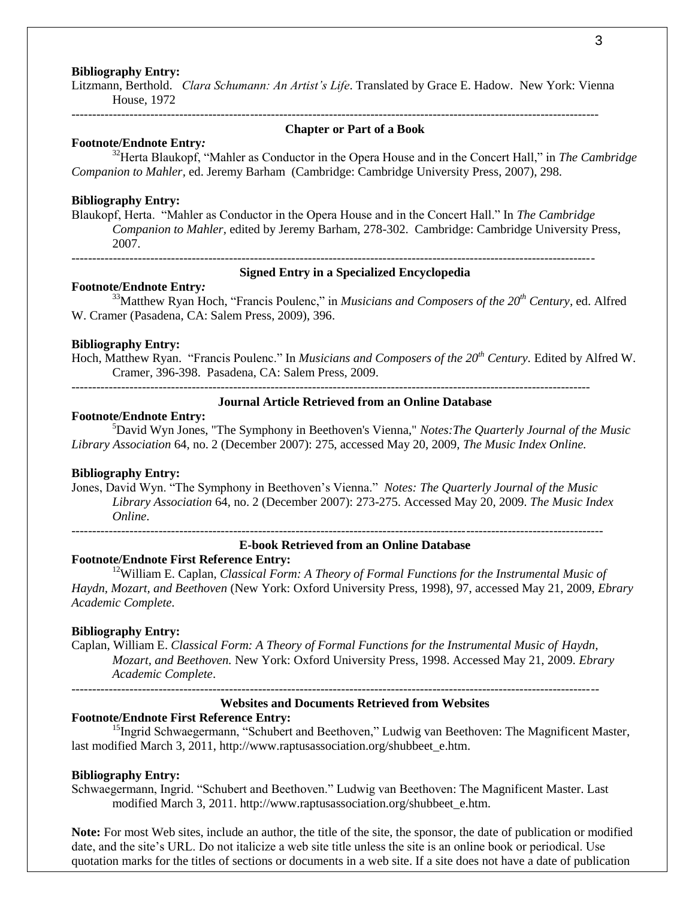#### **Bibliography Entry:**

Litzmann, Berthold. *Clara Schumann: An Artist's Life*. Translated by Grace E. Hadow. New York: Vienna House, 1972

-------------------------------------------------------------------------------------------------------------------------------

#### **Chapter or Part of a Book**

## **Footnote/Endnote Entry***:*

<sup>32</sup>Herta Blaukopf, "Mahler as Conductor in the Opera House and in the Concert Hall," in *The Cambridge Companion to Mahler,* ed. Jeremy Barham (Cambridge: Cambridge University Press, 2007), 298.

#### **Bibliography Entry:**

Blaukopf, Herta. "Mahler as Conductor in the Opera House and in the Concert Hall." In *The Cambridge Companion to Mahler,* edited by Jeremy Barham, 278-302. Cambridge: Cambridge University Press, 2007. ------------------------------------------------------------------------------------------------------------------------------

#### **Signed Entry in a Specialized Encyclopedia**

### **Footnote/Endnote Entry***:*

<sup>33</sup>Matthew Ryan Hoch, "Francis Poulenc," in *Musicians and Composers of the 20th Century,* ed. Alfred W. Cramer (Pasadena, CA: Salem Press, 2009), 396.

#### **Bibliography Entry:**

Hoch, Matthew Ryan. "Francis Poulenc." In *Musicians and Composers of the 20th Century.* Edited by Alfred W. Cramer, 396-398. Pasadena, CA: Salem Press, 2009.

-----------------------------------------------------------------------------------------------------------------------------

## **Journal Article Retrieved from an Online Database**

#### **Footnote/Endnote Entry:**

<sup>5</sup>David Wyn Jones, "The Symphony in Beethoven's Vienna," *Notes:The Quarterly Journal of the Music Library Association* 64, no. 2 (December 2007): 275, accessed May 20, 2009, *The Music Index Online.*

#### **Bibliography Entry:**

Jones, David Wyn. "The Symphony in Beethoven's Vienna." *Notes: The Quarterly Journal of the Music Library Association* 64, no. 2 (December 2007): 273-275. Accessed May 20, 2009. *The Music Index Online*.

--------------------------------------------------------------------------------------------------------------------------------

#### **E-book Retrieved from an Online Database**

## **Footnote/Endnote First Reference Entry:**

<sup>12</sup>William E. Caplan, *Classical Form: A Theory of Formal Functions for the Instrumental Music of Haydn, Mozart, and Beethoven* (New York: Oxford University Press, 1998), 97, accessed May 21, 2009, *Ebrary Academic Complete.*

#### **Bibliography Entry:**

Caplan, William E. *Classical Form: A Theory of Formal Functions for the Instrumental Music of Haydn, Mozart, and Beethoven.* New York: Oxford University Press, 1998. Accessed May 21, 2009. *Ebrary Academic Complete*.

-------------------------------------------------------------------------------------------------------------------------------

#### **Websites and Documents Retrieved from Websites**

#### **Footnote/Endnote First Reference Entry:**

<sup>15</sup>Ingrid Schwaegermann, "Schubert and Beethoven," Ludwig van Beethoven: The Magnificent Master, last modified March 3, 2011, http://www.raptusassociation.org/shubbeet\_e.htm.

#### **Bibliography Entry:**

Schwaegermann, Ingrid. "Schubert and Beethoven." Ludwig van Beethoven: The Magnificent Master. Last modified March 3, 2011. http://www.raptusassociation.org/shubbeet\_e.htm.

**Note:** For most Web sites, include an author, the title of the site, the sponsor, the date of publication or modified date, and the site's URL. Do not italicize a web site title unless the site is an online book or periodical. Use quotation marks for the titles of sections or documents in a web site. If a site does not have a date of publication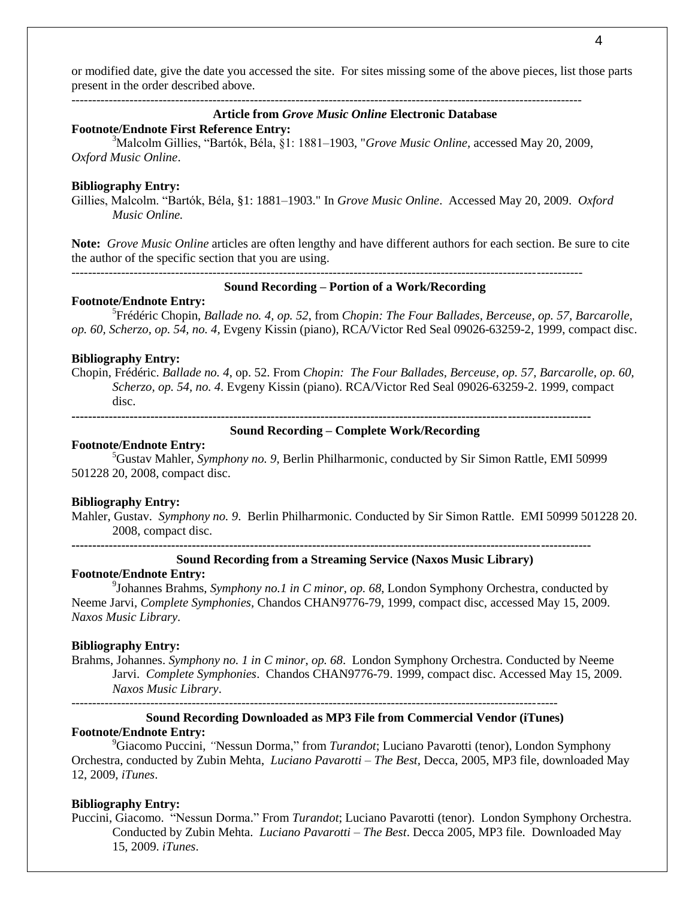or modified date, give the date you accessed the site. For sites missing some of the above pieces, list those parts present in the order described above.

---------------------------------------------------------------------------------------------------------------------------

## **Article from** *Grove Music Online* **Electronic Database**

**Footnote/Endnote First Reference Entry:**

<sup>3</sup>Malcolm Gillies, "Bartók, Béla, §1: 1881–1903, "*Grove Music Online,* accessed May 20, 2009, *Oxford Music Online*.

#### **Bibliography Entry:**

Gillies, Malcolm. "Bartók, Béla, §1: 1881–1903." In *Grove Music Online*. Accessed May 20, 2009. *Oxford Music Online.*

**Note:** *Grove Music Online* articles are often lengthy and have different authors for each section. Be sure to cite the author of the specific section that you are using.

---------------------------------------------------------------------------------------------------------------------------

## **Sound Recording – Portion of a Work/Recording**

#### **Footnote/Endnote Entry:**

5 Frédéric Chopin, *Ballade no. 4, op. 52*, from *Chopin: The Four Ballades, Berceuse, op. 57, Barcarolle, op. 60, Scherzo, op. 54, no. 4,* Evgeny Kissin (piano), RCA/Victor Red Seal 09026-63259-2, 1999, compact disc.

#### **Bibliography Entry:**

Chopin, Frédéric. *Ballade no. 4*, op. 52. From *Chopin: The Four Ballades, Berceuse, op. 57, Barcarolle, op. 60, Scherzo, op. 54, no. 4*. Evgeny Kissin (piano). RCA/Victor Red Seal 09026-63259-2. 1999, compact disc.

**-----------------------------------------------------------------------------------------------------------------------------**

## **Sound Recording – Complete Work/Recording**

#### **Footnote/Endnote Entry:**

<sup>5</sup>Gustav Mahler, *Symphony no. 9*, Berlin Philharmonic, conducted by Sir Simon Rattle, EMI 50999 501228 20, 2008, compact disc.

#### **Bibliography Entry:**

Mahler, Gustav. *Symphony no. 9*. Berlin Philharmonic. Conducted by Sir Simon Rattle.EMI 50999 501228 20. 2008, compact disc.

**-----------------------------------------------------------------------------------------------------------------------------**

#### **Sound Recording from a Streaming Service (Naxos Music Library)**

#### **Footnote/Endnote Entry:**

9 Johannes Brahms, *Symphony no.1 in C minor, op. 68*, London Symphony Orchestra, conducted by Neeme Jarvi, *Complete Symphonies,* Chandos CHAN9776-79, 1999, compact disc, accessed May 15, 2009. *Naxos Music Library.*

#### **Bibliography Entry:**

Brahms, Johannes. *Symphony no. 1 in C minor*, *op. 68*. London Symphony Orchestra. Conducted by Neeme Jarvi. *Complete Symphonies*. Chandos CHAN9776-79. 1999, compact disc. Accessed May 15, 2009. *Naxos Music Library*.

---------------------------------------------------------------------------------------------------------------------

## **Sound Recording Downloaded as MP3 File from Commercial Vendor (iTunes) Footnote/Endnote Entry:**

<sup>9</sup>Giacomo Puccini, *"*Nessun Dorma," from *Turandot*; Luciano Pavarotti (tenor), London Symphony Orchestra, conducted by Zubin Mehta, *Luciano Pavarotti – The Best,* Decca, 2005, MP3 file, downloaded May 12, 2009, *iTunes*.

#### **Bibliography Entry:**

Puccini, Giacomo. "Nessun Dorma." From *Turandot*; Luciano Pavarotti (tenor). London Symphony Orchestra. Conducted by Zubin Mehta. *Luciano Pavarotti – The Best*. Decca 2005, MP3 file. Downloaded May 15, 2009. *iTunes*.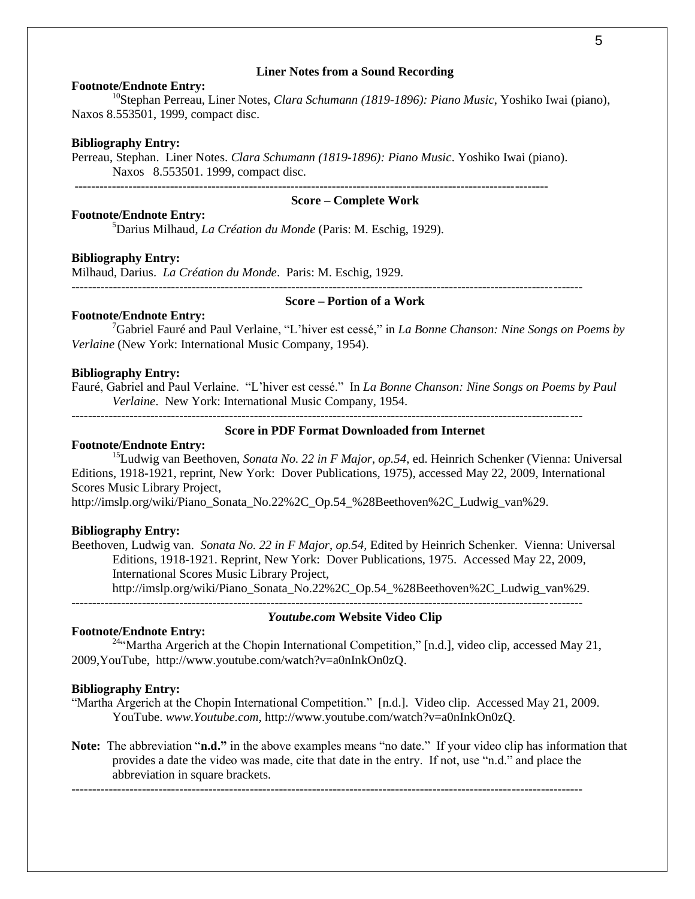#### **Liner Notes from a Sound Recording**

#### **Footnote/Endnote Entry:**

<sup>10</sup>Stephan Perreau, Liner Notes, *Clara Schumann (1819-1896): Piano Music*, Yoshiko Iwai (piano), Naxos 8.553501, 1999, compact disc.

#### **Bibliography Entry:**

Perreau, Stephan. Liner Notes. *Clara Schumann (1819-1896): Piano Music*. Yoshiko Iwai (piano). Naxos 8.553501. 1999, compact disc.

## **Score – Complete Work**

**Footnote/Endnote Entry:**

<sup>5</sup>Darius Milhaud, *La Création du Monde* (Paris: M. Eschig, 1929).

#### **Bibliography Entry:**

Milhaud, Darius. *La Création du Monde*. Paris: M. Eschig, 1929.

#### **Score – Portion of a Work**

#### **Footnote/Endnote Entry:**

<sup>7</sup>Gabriel Fauré and Paul Verlaine, "L'hiver est cessé," in *La Bonne Chanson: Nine Songs on Poems by Verlaine* (New York: International Music Company, 1954).

#### **Bibliography Entry:**

Fauré, Gabriel and Paul Verlaine. "L'hiver est cessé." In *La Bonne Chanson: Nine Songs on Poems by Paul Verlaine*. New York: International Music Company, 1954.

---------------------------------------------------------------------------------------------------------------------------

## **Score in PDF Format Downloaded from Internet**

#### **Footnote/Endnote Entry:**

<sup>15</sup>Ludwig van Beethoven, *Sonata No. 22 in F Major*, *op.54*, ed. Heinrich Schenker (Vienna: Universal Editions, 1918-1921, reprint, New York: Dover Publications, 1975), accessed May 22, 2009, International Scores Music Library Project,

http://imslp.org/wiki/Piano\_Sonata\_No.22%2C\_Op.54\_%28Beethoven%2C\_Ludwig\_van%29.

#### **Bibliography Entry:**

Beethoven, Ludwig van. *Sonata No. 22 in F Major*, *op.54,* Edited by Heinrich Schenker. Vienna: Universal Editions, 1918-1921. Reprint, New York: Dover Publications, 1975. Accessed May 22, 2009, International Scores Music Library Project,

http://imslp.org/wiki/Piano\_Sonata\_No.22%2C\_Op.54\_%28Beethoven%2C\_Ludwig\_van%29.

---------------------------------------------------------------------------------------------------------------------------

## *Youtube***.***com* **Website Video Clip**

#### **Footnote/Endnote Entry:**

<sup>24"</sup>Martha Argerich at the Chopin International Competition," [n.d.], video clip, accessed May 21, 2009,YouTube, http://www.youtube.com/watch?v=a0nInkOn0zQ.

#### **Bibliography Entry:**

- "Martha Argerich at the Chopin International Competition." [n.d.]. Video clip. Accessed May 21, 2009. YouTube. *www.Youtube.com*, http://www.youtube.com/watch?v=a0nInkOn0zQ.
- **Note:** The abbreviation "**n.d."** in the above examples means "no date." If your video clip has information that provides a date the video was made, cite that date in the entry. If not, use "n.d." and place the abbreviation in square brackets.

---------------------------------------------------------------------------------------------------------------------------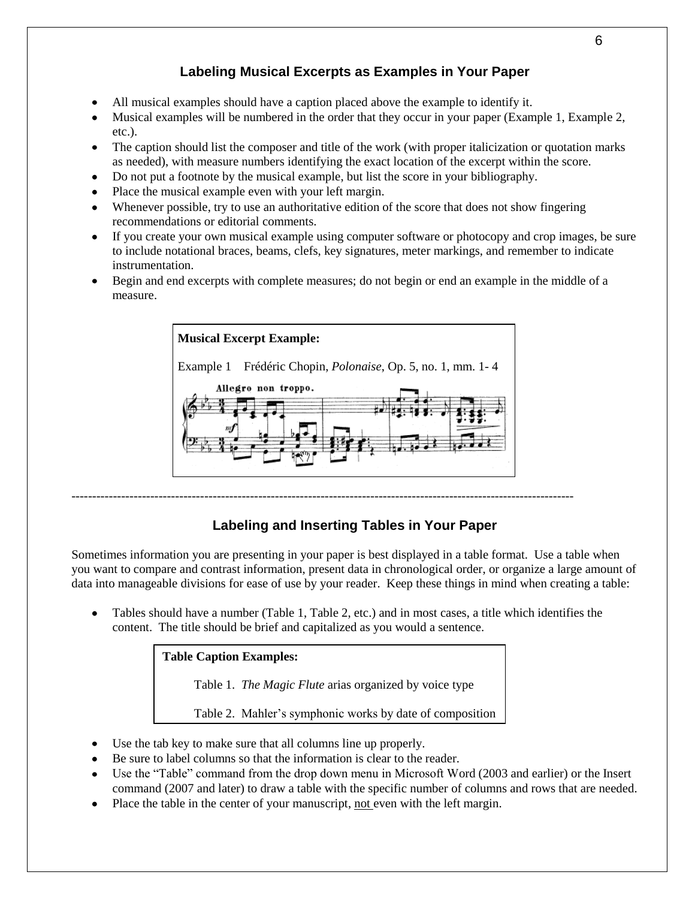## **Labeling Musical Excerpts as Examples in Your Paper**

- All musical examples should have a caption placed above the example to identify it.
- Musical examples will be numbered in the order that they occur in your paper (Example 1, Example 2, etc.).
- The caption should list the composer and title of the work (with proper italicization or quotation marks as needed), with measure numbers identifying the exact location of the excerpt within the score.
- Do not put a footnote by the musical example, but list the score in your bibliography.
- Place the musical example even with your left margin.
- Whenever possible, try to use an authoritative edition of the score that does not show fingering recommendations or editorial comments.
- If you create your own musical example using computer software or photocopy and crop images, be sure to include notational braces, beams, clefs, key signatures, meter markings, and remember to indicate instrumentation.
- Begin and end excerpts with complete measures; do not begin or end an example in the middle of a measure.



## **Labeling and Inserting Tables in Your Paper**

Sometimes information you are presenting in your paper is best displayed in a table format. Use a table when you want to compare and contrast information, present data in chronological order, or organize a large amount of data into manageable divisions for ease of use by your reader. Keep these things in mind when creating a table:

Tables should have a number (Table 1, Table 2, etc.) and in most cases, a title which identifies the content. The title should be brief and capitalized as you would a sentence.

## **Table Caption Examples:**

Table 1. *The Magic Flute* arias organized by voice type

Table 2. Mahler's symphonic works by date of composition

- Use the tab key to make sure that all columns line up properly.
- Be sure to label columns so that the information is clear to the reader.
- Use the "Table" command from the drop down menu in Microsoft Word (2003 and earlier) or the Insert command (2007 and later) to draw a table with the specific number of columns and rows that are needed.
- Place the table in the center of your manuscript, not even with the left margin.